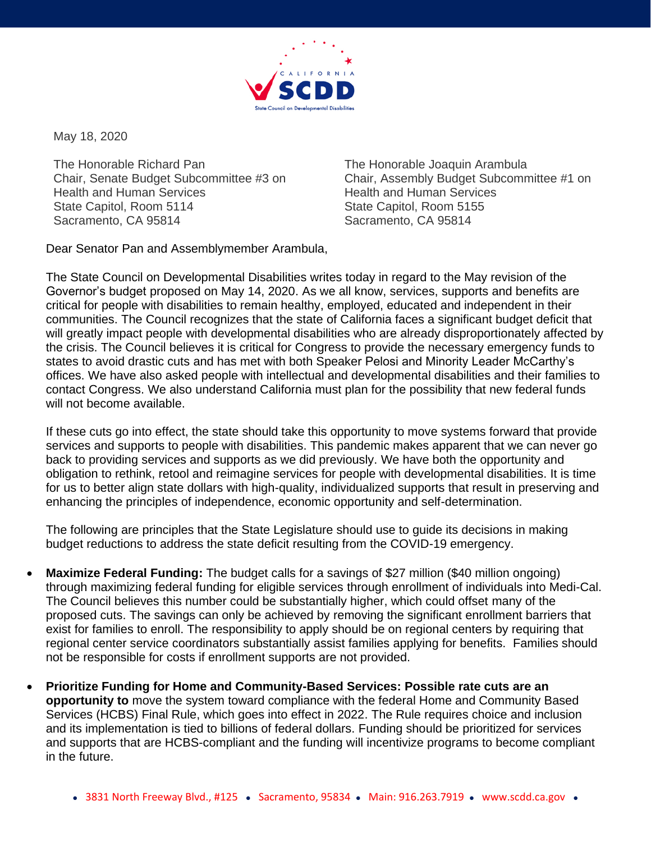

May 18, 2020

The Honorable Richard Pan Chair, Senate Budget Subcommittee #3 on Health and Human Services State Capitol, Room 5114 Sacramento, CA 95814

The Honorable Joaquin Arambula Chair, Assembly Budget Subcommittee #1 on Health and Human Services State Capitol, Room 5155 Sacramento, CA 95814

Dear Senator Pan and Assemblymember Arambula,

The State Council on Developmental Disabilities writes today in regard to the May revision of the Governor's budget proposed on May 14, 2020. As we all know, services, supports and benefits are critical for people with disabilities to remain healthy, employed, educated and independent in their communities. The Council recognizes that the state of California faces a significant budget deficit that will greatly impact people with developmental disabilities who are already disproportionately affected by the crisis. The Council believes it is critical for Congress to provide the necessary emergency funds to states to avoid drastic cuts and has met with both Speaker Pelosi and Minority Leader McCarthy's offices. We have also asked people with intellectual and developmental disabilities and their families to contact Congress. We also understand California must plan for the possibility that new federal funds will not become available.

If these cuts go into effect, the state should take this opportunity to move systems forward that provide services and supports to people with disabilities. This pandemic makes apparent that we can never go back to providing services and supports as we did previously. We have both the opportunity and obligation to rethink, retool and reimagine services for people with developmental disabilities. It is time for us to better align state dollars with high-quality, individualized supports that result in preserving and enhancing the principles of independence, economic opportunity and self-determination.

The following are principles that the State Legislature should use to guide its decisions in making budget reductions to address the state deficit resulting from the COVID-19 emergency.

- **Maximize Federal Funding:** The budget calls for a savings of \$27 million (\$40 million ongoing) through maximizing federal funding for eligible services through enrollment of individuals into Medi-Cal. The Council believes this number could be substantially higher, which could offset many of the proposed cuts. The savings can only be achieved by removing the significant enrollment barriers that exist for families to enroll. The responsibility to apply should be on regional centers by requiring that regional center service coordinators substantially assist families applying for benefits. Families should not be responsible for costs if enrollment supports are not provided.
- **Prioritize Funding for Home and Community-Based Services: Possible rate cuts are an opportunity to** move the system toward compliance with the federal Home and Community Based Services (HCBS) Final Rule, which goes into effect in 2022. The Rule requires choice and inclusion and its implementation is tied to billions of federal dollars. Funding should be prioritized for services and supports that are HCBS-compliant and the funding will incentivize programs to become compliant in the future.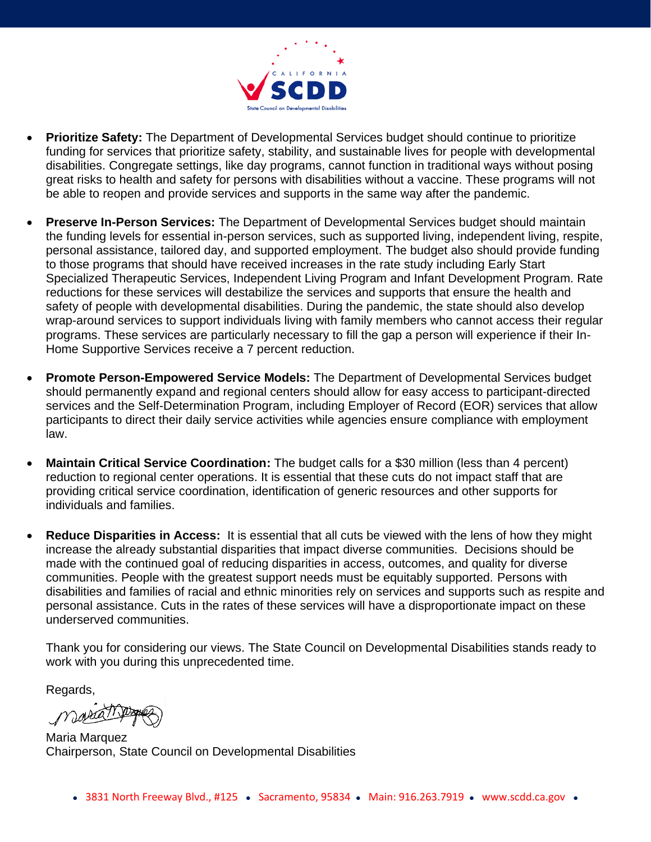

- **Prioritize Safety:** The Department of Developmental Services budget should continue to prioritize funding for services that prioritize safety, stability, and sustainable lives for people with developmental disabilities. Congregate settings, like day programs, cannot function in traditional ways without posing great risks to health and safety for persons with disabilities without a vaccine. These programs will not be able to reopen and provide services and supports in the same way after the pandemic.
- **Preserve In-Person Services:** The Department of Developmental Services budget should maintain the funding levels for essential in-person services, such as supported living, independent living, respite, personal assistance, tailored day, and supported employment. The budget also should provide funding to those programs that should have received increases in the rate study including Early Start Specialized Therapeutic Services, Independent Living Program and Infant Development Program. Rate reductions for these services will destabilize the services and supports that ensure the health and safety of people with developmental disabilities. During the pandemic, the state should also develop wrap-around services to support individuals living with family members who cannot access their regular programs. These services are particularly necessary to fill the gap a person will experience if their In-Home Supportive Services receive a 7 percent reduction.
- **Promote Person-Empowered Service Models:** The Department of Developmental Services budget should permanently expand and regional centers should allow for easy access to participant-directed services and the Self-Determination Program, including Employer of Record (EOR) services that allow participants to direct their daily service activities while agencies ensure compliance with employment law.
- **Maintain Critical Service Coordination:** The budget calls for a \$30 million (less than 4 percent) reduction to regional center operations. It is essential that these cuts do not impact staff that are providing critical service coordination, identification of generic resources and other supports for individuals and families.
- **Reduce Disparities in Access:** It is essential that all cuts be viewed with the lens of how they might increase the already substantial disparities that impact diverse communities. Decisions should be made with the continued goal of reducing disparities in access, outcomes, and quality for diverse communities. People with the greatest support needs must be equitably supported. Persons with disabilities and families of racial and ethnic minorities rely on services and supports such as respite and personal assistance. Cuts in the rates of these services will have a disproportionate impact on these underserved communities.

Thank you for considering our views. The State Council on Developmental Disabilities stands ready to work with you during this unprecedented time.

Regards,

Maria

Maria Marquez Chairperson, State Council on Developmental Disabilities